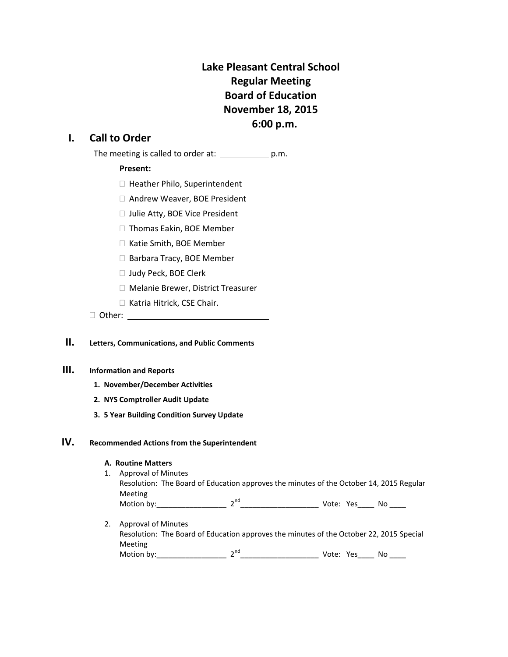# **Lake Pleasant Central School Regular Meeting Board of Education November 18, 2015 6:00 p.m.**

# **I. Call to Order**

The meeting is called to order at: \_\_\_\_\_\_\_\_\_\_\_\_\_\_ p.m.

### **Present:**

- □ Heather Philo, Superintendent
- □ Andrew Weaver, BOE President
- □ Julie Atty, BOE Vice President
- □ Thomas Eakin, BOE Member
- □ Katie Smith, BOE Member
- □ Barbara Tracy, BOE Member
- □ Judy Peck, BOE Clerk
- Melanie Brewer, District Treasurer
- □ Katria Hitrick, CSE Chair.
- □ Other: www.com/watch?com/watch?com/watch?com/watch?com/watch?com/watch?com/watch?com/watch?com/watch?com/watch?com/

# **II. Letters, Communications, and Public Comments**

### **III. Information and Reports**

- **1. November/December Activities**
- **2. NYS Comptroller Audit Update**
- **3. 5 Year Building Condition Survey Update**

## **IV. Recommended Actions from the Superintendent**

#### **A. Routine Matters**

- 1. Approval of Minutes Resolution: The Board of Education approves the minutes of the October 14, 2015 Regular Meeting Motion by:  $2^{nd}$  2<sup>nd</sup> Vote: Yes No  $\overline{\phantom{a}}$
- 2. Approval of Minutes Resolution: The Board of Education approves the minutes of the October 22, 2015 Special Meeting Motion by:\_\_\_\_\_\_\_\_\_\_\_\_\_\_\_\_\_ 2nd\_\_\_\_\_\_\_\_\_\_\_\_\_\_\_\_\_\_\_ Vote: Yes\_\_\_\_ No \_\_\_\_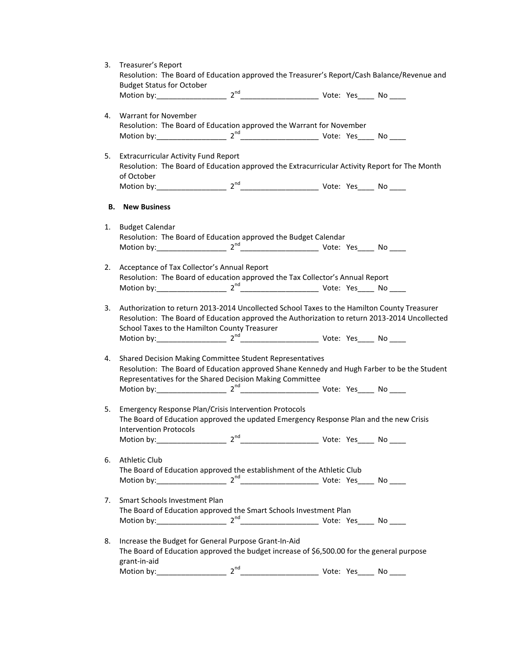|    | 3. Treasurer's Report                                                                         |  |  |
|----|-----------------------------------------------------------------------------------------------|--|--|
|    | Resolution: The Board of Education approved the Treasurer's Report/Cash Balance/Revenue and   |  |  |
|    | <b>Budget Status for October</b>                                                              |  |  |
|    |                                                                                               |  |  |
|    |                                                                                               |  |  |
| 4. | <b>Warrant for November</b>                                                                   |  |  |
|    | Resolution: The Board of Education approved the Warrant for November                          |  |  |
|    |                                                                                               |  |  |
| 5. | <b>Extracurricular Activity Fund Report</b>                                                   |  |  |
|    | Resolution: The Board of Education approved the Extracurricular Activity Report for The Month |  |  |
|    | of October                                                                                    |  |  |
|    |                                                                                               |  |  |
|    |                                                                                               |  |  |
|    | <b>B.</b> New Business                                                                        |  |  |
| 1. | <b>Budget Calendar</b>                                                                        |  |  |
|    | Resolution: The Board of Education approved the Budget Calendar                               |  |  |
|    |                                                                                               |  |  |
|    |                                                                                               |  |  |
| 2. | Acceptance of Tax Collector's Annual Report                                                   |  |  |
|    | Resolution: The Board of education approved the Tax Collector's Annual Report                 |  |  |
|    |                                                                                               |  |  |
|    |                                                                                               |  |  |
| 3. | Authorization to return 2013-2014 Uncollected School Taxes to the Hamilton County Treasurer   |  |  |
|    | Resolution: The Board of Education approved the Authorization to return 2013-2014 Uncollected |  |  |
|    | School Taxes to the Hamilton County Treasurer                                                 |  |  |
|    |                                                                                               |  |  |
|    |                                                                                               |  |  |
| 4. | Shared Decision Making Committee Student Representatives                                      |  |  |
|    | Resolution: The Board of Education approved Shane Kennedy and Hugh Farber to be the Student   |  |  |
|    | Representatives for the Shared Decision Making Committee                                      |  |  |
|    |                                                                                               |  |  |
| 5. | Emergency Response Plan/Crisis Intervention Protocols                                         |  |  |
|    | The Board of Education approved the updated Emergency Response Plan and the new Crisis        |  |  |
|    | <b>Intervention Protocols</b>                                                                 |  |  |
|    |                                                                                               |  |  |
|    |                                                                                               |  |  |
| 6. | <b>Athletic Club</b>                                                                          |  |  |
|    | The Board of Education approved the establishment of the Athletic Club                        |  |  |
|    |                                                                                               |  |  |
|    |                                                                                               |  |  |
| 7. | Smart Schools Investment Plan                                                                 |  |  |
|    | The Board of Education approved the Smart Schools Investment Plan                             |  |  |
|    |                                                                                               |  |  |
|    |                                                                                               |  |  |
| 8. | Increase the Budget for General Purpose Grant-In-Aid                                          |  |  |
|    | The Board of Education approved the budget increase of \$6,500.00 for the general purpose     |  |  |
|    | grant-in-aid                                                                                  |  |  |
|    |                                                                                               |  |  |